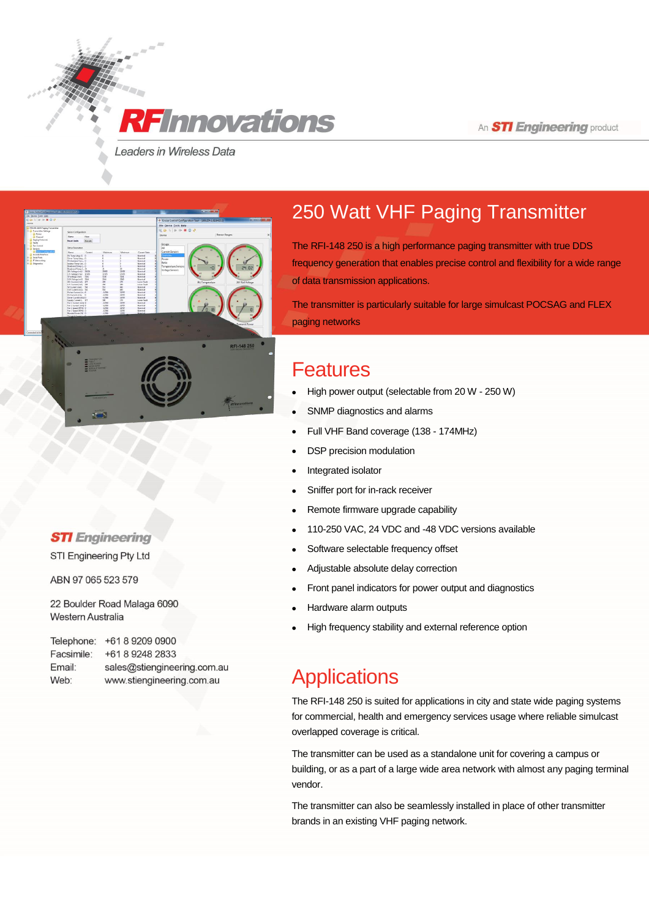An **STI Engineering** product

Leaders in Wireless Data

**RF** Innovations



### **STI** Engineering

STI Engineering Pty Ltd

ABN 97 065 523 579

22 Boulder Road Malaga 6090 **Western Australia** 

Telephone: +61 8 9209 0900 Facsimile: +61 8 9248 2833 Email: sales@stiengineering.com.au Web: www.stiengineering.com.au

# 250 Watt VHF Paging Transmitter

The RFI-148 250 is a high performance paging transmitter with true DDS frequency generation that enables precise control and flexibility for a wide range of data transmission applications.

The transmitter is particularly suitable for large simulcast POCSAG and FLEX paging networks

### Features

- High power output (selectable from 20 W 250 W)
- SNMP diagnostics and alarms
- Full VHF Band coverage (138 174MHz)
- DSP precision modulation
- Integrated isolator
- Sniffer port for in-rack receiver
- Remote firmware upgrade capability
- 110-250 VAC, 24 VDC and -48 VDC versions available
- Software selectable frequency offset
- Adjustable absolute delay correction
- Front panel indicators for power output and diagnostics
- Hardware alarm outputs
- High frequency stability and external reference option

### **Applications**

The RFI-148 250 is suited for applications in city and state wide paging systems for commercial, health and emergency services usage where reliable simulcast overlapped coverage is critical.

The transmitter can be used as a standalone unit for covering a campus or building, or as a part of a large wide area network with almost any paging terminal vendor.

The transmitter can also be seamlessly installed in place of other transmitter brands in an existing VHF paging network.